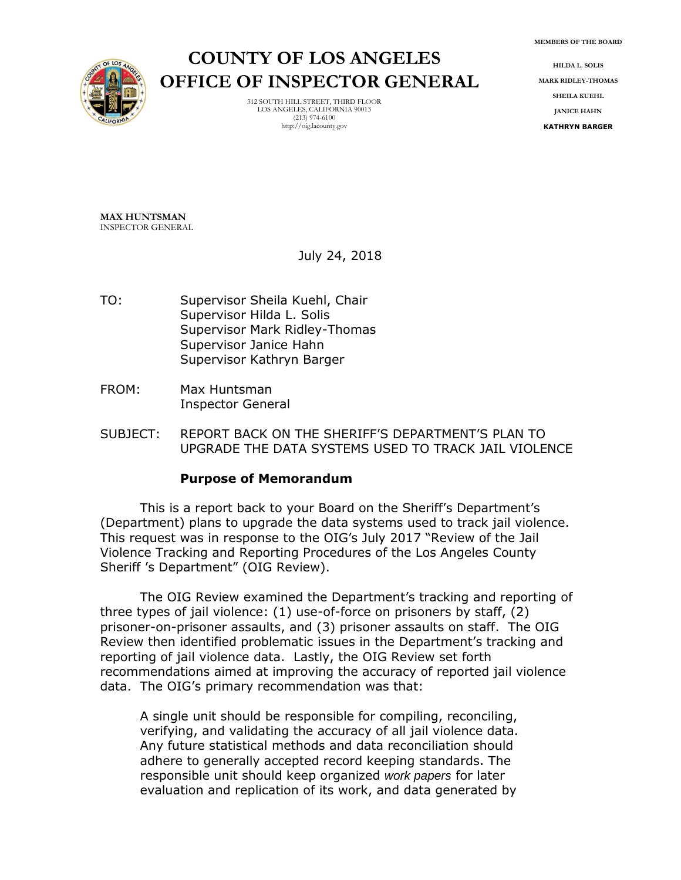**MEMBERS OF THE BOARD**



**COUNTY OF LOS ANGELES OFFICE OF INSPECTOR GENERAL**

> 312 SOUTH HILL STREET, THIRD FLOOR LOS ANGELES, CALIFORNIA 90013 (213) 974-6100 http://oig.lacounty.gov

**HILDA L. SOLIS MARK RIDLEY-THOMAS SHEILA KUEHL JANICE HAHN KATHRYN BARGER**

**MAX HUNTSMAN** INSPECTOR GENERAL

July 24, 2018

- TO: Supervisor Sheila Kuehl, Chair Supervisor Hilda L. Solis Supervisor Mark Ridley-Thomas Supervisor Janice Hahn Supervisor Kathryn Barger
- FROM: Max Huntsman Inspector General
- SUBJECT: REPORT BACK ON THE SHERIFF'S DEPARTMENT'S PLAN TO UPGRADE THE DATA SYSTEMS USED TO TRACK JAIL VIOLENCE

## **Purpose of Memorandum**

This is a report back to your Board on the Sheriff's Department's (Department) plans to upgrade the data systems used to track jail violence. This request was in response to the OIG's July 2017 "Review of the Jail Violence Tracking and Reporting Procedures of the Los Angeles County Sheriff 's Department" (OIG Review).

The OIG Review examined the Department's tracking and reporting of three types of jail violence: (1) use-of-force on prisoners by staff, (2) prisoner-on-prisoner assaults, and (3) prisoner assaults on staff. The OIG Review then identified problematic issues in the Department's tracking and reporting of jail violence data. Lastly, the OIG Review set forth recommendations aimed at improving the accuracy of reported jail violence data. The OIG's primary recommendation was that:

A single unit should be responsible for compiling, reconciling, verifying, and validating the accuracy of all jail violence data. Any future statistical methods and data reconciliation should adhere to generally accepted record keeping standards. The responsible unit should keep organized *work papers* for later evaluation and replication of its work, and data generated by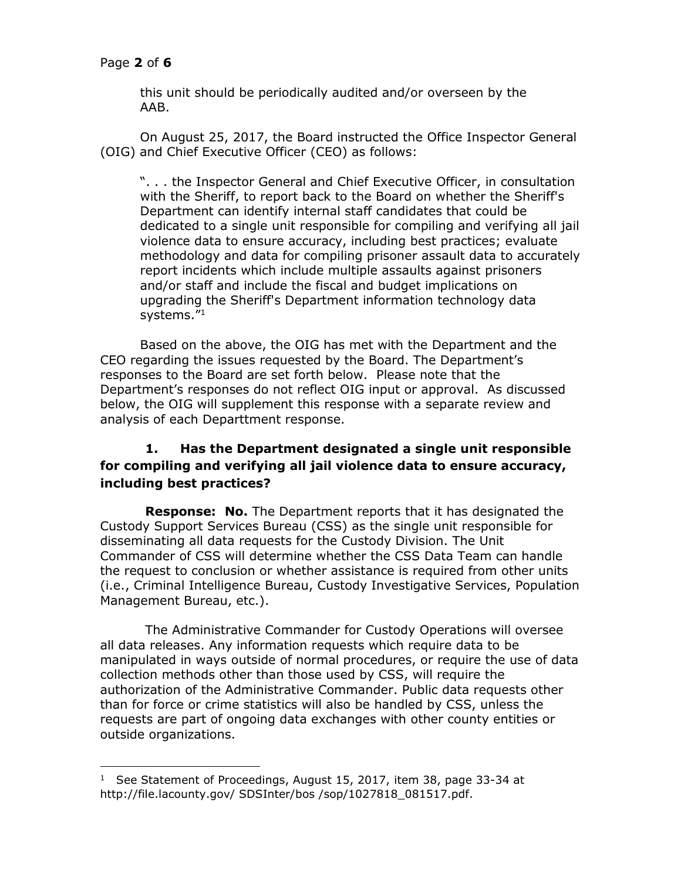# Page **2** of **6**

j

this unit should be periodically audited and/or overseen by the AAB.

On August 25, 2017, the Board instructed the Office Inspector General (OIG) and Chief Executive Officer (CEO) as follows:

". . . the Inspector General and Chief Executive Officer, in consultation with the Sheriff, to report back to the Board on whether the Sheriff's Department can identify internal staff candidates that could be dedicated to a single unit responsible for compiling and verifying all jail violence data to ensure accuracy, including best practices; evaluate methodology and data for compiling prisoner assault data to accurately report incidents which include multiple assaults against prisoners and/or staff and include the fiscal and budget implications on upgrading the Sheriff's Department information technology data systems."<sup>1</sup>

Based on the above, the OIG has met with the Department and the CEO regarding the issues requested by the Board. The Department's responses to the Board are set forth below. Please note that the Department's responses do not reflect OIG input or approval. As discussed below, the OIG will supplement this response with a separate review and analysis of each Departtment response.

# **1. Has the Department designated a single unit responsible for compiling and verifying all jail violence data to ensure accuracy, including best practices?**

**Response: No.** The Department reports that it has designated the Custody Support Services Bureau (CSS) as the single unit responsible for disseminating all data requests for the Custody Division. The Unit Commander of CSS will determine whether the CSS Data Team can handle the request to conclusion or whether assistance is required from other units (i.e., Criminal Intelligence Bureau, Custody Investigative Services, Population Management Bureau, etc.).

The Administrative Commander for Custody Operations will oversee all data releases. Any information requests which require data to be manipulated in ways outside of normal procedures, or require the use of data collection methods other than those used by CSS, will require the authorization of the Administrative Commander. Public data requests other than for force or crime statistics will also be handled by CSS, unless the requests are part of ongoing data exchanges with other county entities or outside organizations.

<sup>1</sup> See Statement of Proceedings, August 15, 2017, item 38, page 33-34 at [http://file.lacounty.gov/ SDSInter/b](http://file.lacounty.gov/%20SDSInter/)os /sop/1027818\_081517.pdf.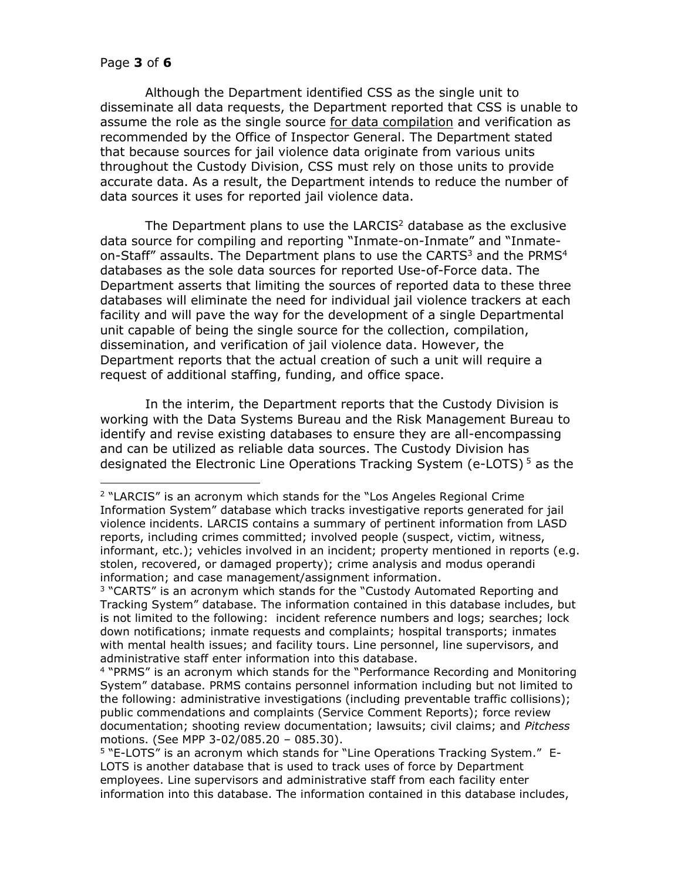$\overline{a}$ 

Although the Department identified CSS as the single unit to disseminate all data requests, the Department reported that CSS is unable to assume the role as the single source for data compilation and verification as recommended by the Office of Inspector General. The Department stated that because sources for jail violence data originate from various units throughout the Custody Division, CSS must rely on those units to provide accurate data. As a result, the Department intends to reduce the number of data sources it uses for reported jail violence data.

The Department plans to use the LARCIS<sup>2</sup> database as the exclusive data source for compiling and reporting "Inmate-on-Inmate" and "Inmateon-Staff" assaults. The Department plans to use the CARTS $3$  and the PRMS $4$ databases as the sole data sources for reported Use-of-Force data. The Department asserts that limiting the sources of reported data to these three databases will eliminate the need for individual jail violence trackers at each facility and will pave the way for the development of a single Departmental unit capable of being the single source for the collection, compilation, dissemination, and verification of jail violence data. However, the Department reports that the actual creation of such a unit will require a request of additional staffing, funding, and office space.

In the interim, the Department reports that the Custody Division is working with the Data Systems Bureau and the Risk Management Bureau to identify and revise existing databases to ensure they are all-encompassing and can be utilized as reliable data sources. The Custody Division has designated the Electronic Line Operations Tracking System (e-LOTS)<sup>5</sup> as the

<sup>2</sup> "LARCIS" is an acronym which stands for the "Los Angeles Regional Crime Information System" database which tracks investigative reports generated for jail violence incidents. LARCIS contains a summary of pertinent information from LASD reports, including crimes committed; involved people (suspect, victim, witness, informant, etc.); vehicles involved in an incident; property mentioned in reports (e.g. stolen, recovered, or damaged property); crime analysis and modus operandi information; and case management/assignment information.

<sup>&</sup>lt;sup>3</sup> "CARTS" is an acronym which stands for the "Custody Automated Reporting and Tracking System" database. The information contained in this database includes, but is not limited to the following: incident reference numbers and logs; searches; lock down notifications; inmate requests and complaints; hospital transports; inmates with mental health issues; and facility tours. Line personnel, line supervisors, and administrative staff enter information into this database.

<sup>4</sup> "PRMS" is an acronym which stands for the "Performance Recording and Monitoring System" database. PRMS contains personnel information including but not limited to the following: administrative investigations (including preventable traffic collisions); public commendations and complaints (Service Comment Reports); force review documentation; shooting review documentation; lawsuits; civil claims; and *Pitchess* motions. (See MPP 3-02/085.20 – 085.30).

<sup>&</sup>lt;sup>5</sup> "E-LOTS" is an acronym which stands for "Line Operations Tracking System." E-LOTS is another database that is used to track uses of force by Department employees. Line supervisors and administrative staff from each facility enter information into this database. The information contained in this database includes,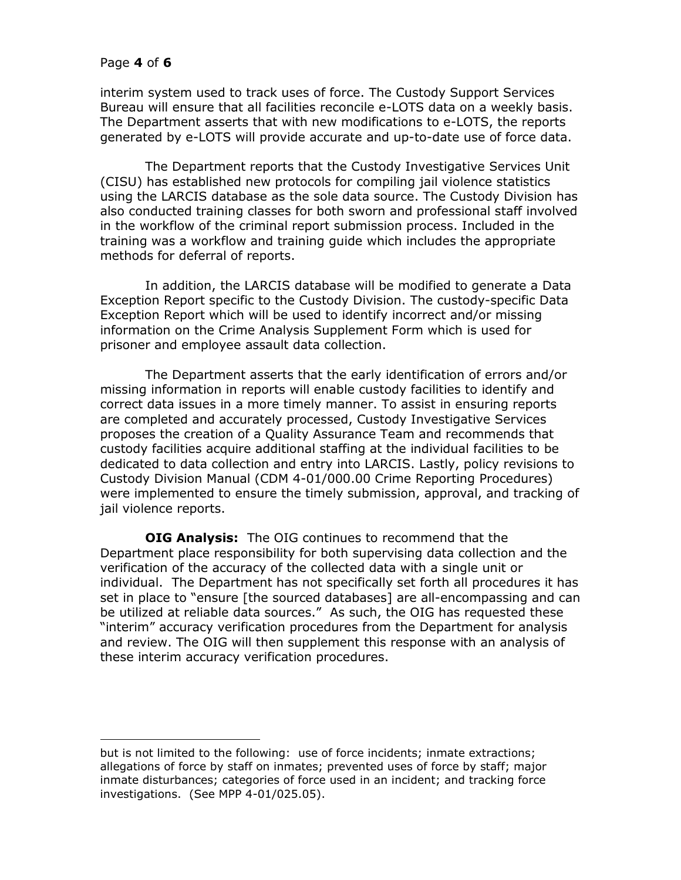### Page **4** of **6**

j

interim system used to track uses of force. The Custody Support Services Bureau will ensure that all facilities reconcile e-LOTS data on a weekly basis. The Department asserts that with new modifications to e-LOTS, the reports generated by e-LOTS will provide accurate and up-to-date use of force data.

The Department reports that the Custody Investigative Services Unit (CISU) has established new protocols for compiling jail violence statistics using the LARCIS database as the sole data source. The Custody Division has also conducted training classes for both sworn and professional staff involved in the workflow of the criminal report submission process. Included in the training was a workflow and training guide which includes the appropriate methods for deferral of reports.

In addition, the LARCIS database will be modified to generate a Data Exception Report specific to the Custody Division. The custody-specific Data Exception Report which will be used to identify incorrect and/or missing information on the Crime Analysis Supplement Form which is used for prisoner and employee assault data collection.

The Department asserts that the early identification of errors and/or missing information in reports will enable custody facilities to identify and correct data issues in a more timely manner. To assist in ensuring reports are completed and accurately processed, Custody Investigative Services proposes the creation of a Quality Assurance Team and recommends that custody facilities acquire additional staffing at the individual facilities to be dedicated to data collection and entry into LARCIS. Lastly, policy revisions to Custody Division Manual (CDM 4-01/000.00 Crime Reporting Procedures) were implemented to ensure the timely submission, approval, and tracking of jail violence reports.

**OIG Analysis:** The OIG continues to recommend that the Department place responsibility for both supervising data collection and the verification of the accuracy of the collected data with a single unit or individual. The Department has not specifically set forth all procedures it has set in place to "ensure [the sourced databases] are all-encompassing and can be utilized at reliable data sources." As such, the OIG has requested these "interim" accuracy verification procedures from the Department for analysis and review. The OIG will then supplement this response with an analysis of these interim accuracy verification procedures.

but is not limited to the following: use of force incidents; inmate extractions; allegations of force by staff on inmates; prevented uses of force by staff; major inmate disturbances; categories of force used in an incident; and tracking force investigations. (See MPP 4-01/025.05).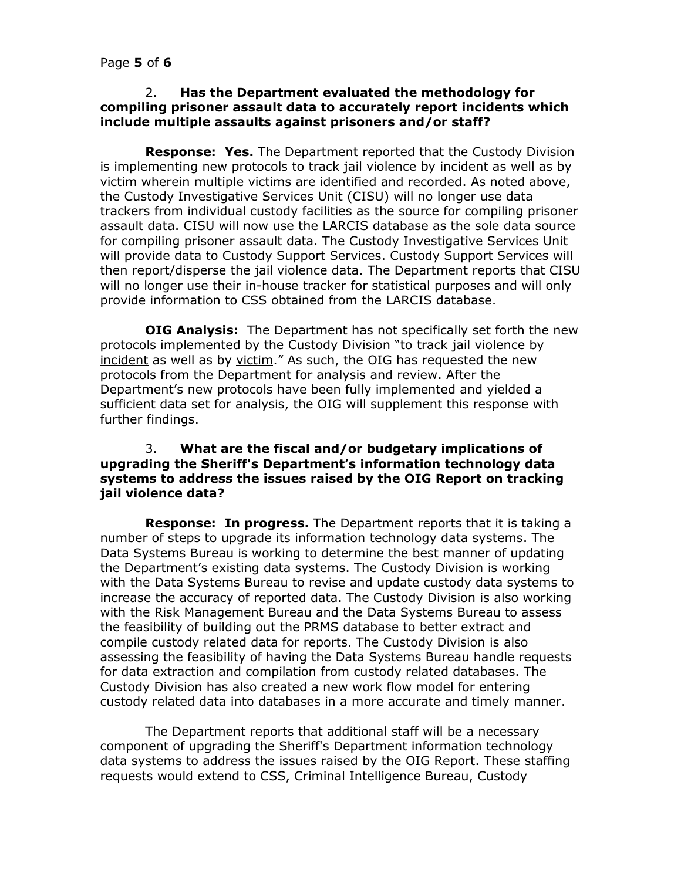#### 2. **Has the Department evaluated the methodology for compiling prisoner assault data to accurately report incidents which include multiple assaults against prisoners and/or staff?**

**Response: Yes.** The Department reported that the Custody Division is implementing new protocols to track jail violence by incident as well as by victim wherein multiple victims are identified and recorded. As noted above, the Custody Investigative Services Unit (CISU) will no longer use data trackers from individual custody facilities as the source for compiling prisoner assault data. CISU will now use the LARCIS database as the sole data source for compiling prisoner assault data. The Custody Investigative Services Unit will provide data to Custody Support Services. Custody Support Services will then report/disperse the jail violence data. The Department reports that CISU will no longer use their in-house tracker for statistical purposes and will only provide information to CSS obtained from the LARCIS database.

**OIG Analysis:** The Department has not specifically set forth the new protocols implemented by the Custody Division "to track jail violence by incident as well as by victim." As such, the OIG has requested the new protocols from the Department for analysis and review. After the Department's new protocols have been fully implemented and yielded a sufficient data set for analysis, the OIG will supplement this response with further findings.

### 3. **What are the fiscal and/or budgetary implications of upgrading the Sheriff's Department's information technology data systems to address the issues raised by the OIG Report on tracking jail violence data?**

**Response: In progress.** The Department reports that it is taking a number of steps to upgrade its information technology data systems. The Data Systems Bureau is working to determine the best manner of updating the Department's existing data systems. The Custody Division is working with the Data Systems Bureau to revise and update custody data systems to increase the accuracy of reported data. The Custody Division is also working with the Risk Management Bureau and the Data Systems Bureau to assess the feasibility of building out the PRMS database to better extract and compile custody related data for reports. The Custody Division is also assessing the feasibility of having the Data Systems Bureau handle requests for data extraction and compilation from custody related databases. The Custody Division has also created a new work flow model for entering custody related data into databases in a more accurate and timely manner.

The Department reports that additional staff will be a necessary component of upgrading the Sheriff's Department information technology data systems to address the issues raised by the OIG Report. These staffing requests would extend to CSS, Criminal Intelligence Bureau, Custody